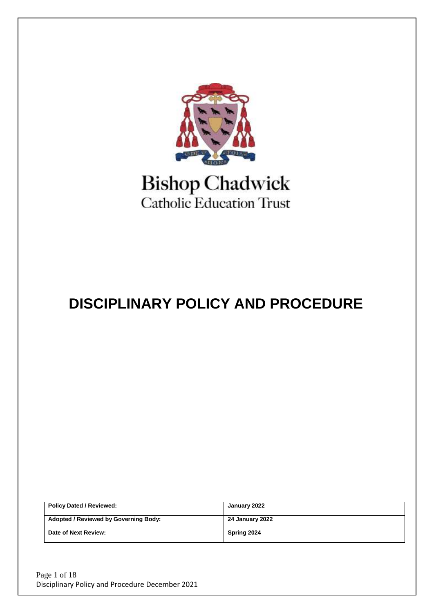

# **Bishop Chadwick** Catholic Education Trust

# **DISCIPLINARY POLICY AND PROCEDURE**

| <b>Policy Dated / Reviewed:</b>              | January 2022    |
|----------------------------------------------|-----------------|
| <b>Adopted / Reviewed by Governing Body:</b> | 24 January 2022 |
| Date of Next Review:                         | Spring 2024     |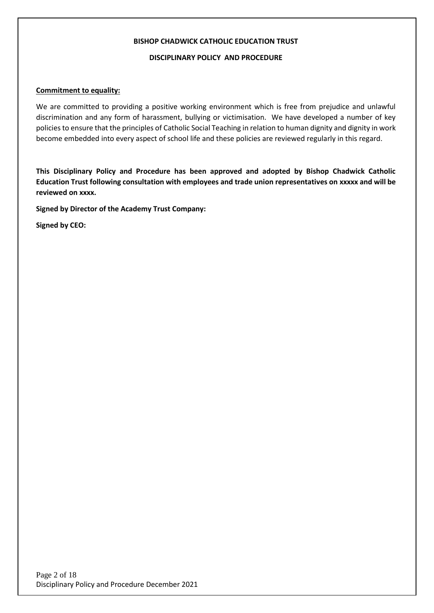#### **BISHOP CHADWICK CATHOLIC EDUCATION TRUST**

#### **DISCIPLINARY POLICY AND PROCEDURE**

#### **Commitment to equality:**

We are committed to providing a positive working environment which is free from prejudice and unlawful discrimination and any form of harassment, bullying or victimisation. We have developed a number of key policies to ensure that the principles of Catholic Social Teaching in relation to human dignity and dignity in work become embedded into every aspect of school life and these policies are reviewed regularly in this regard.

**This Disciplinary Policy and Procedure has been approved and adopted by Bishop Chadwick Catholic Education Trust following consultation with employees and trade union representatives on xxxxx and will be reviewed on xxxx.**

**Signed by Director of the Academy Trust Company:**

**Signed by CEO:**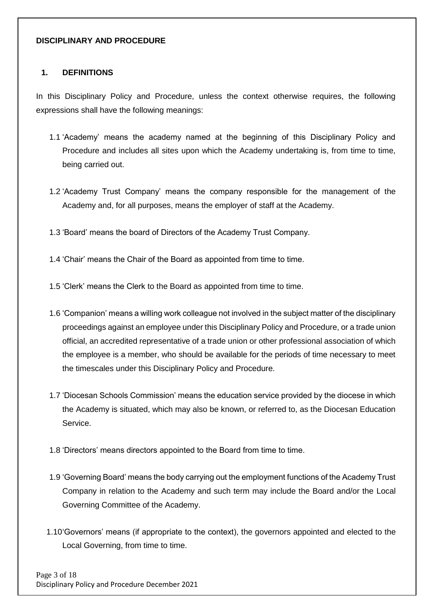#### **DISCIPLINARY AND PROCEDURE**

#### **1. DEFINITIONS**

In this Disciplinary Policy and Procedure, unless the context otherwise requires, the following expressions shall have the following meanings:

- 1.1 'Academy' means the academy named at the beginning of this Disciplinary Policy and Procedure and includes all sites upon which the Academy undertaking is, from time to time, being carried out.
- 1.2 'Academy Trust Company' means the company responsible for the management of the Academy and, for all purposes, means the employer of staff at the Academy.
- 1.3 'Board' means the board of Directors of the Academy Trust Company.
- 1.4 'Chair' means the Chair of the Board as appointed from time to time.
- 1.5 'Clerk' means the Clerk to the Board as appointed from time to time.
- 1.6 'Companion' means a willing work colleague not involved in the subject matter of the disciplinary proceedings against an employee under this Disciplinary Policy and Procedure, or a trade union official, an accredited representative of a trade union or other professional association of which the employee is a member, who should be available for the periods of time necessary to meet the timescales under this Disciplinary Policy and Procedure.
- 1.7 'Diocesan Schools Commission' means the education service provided by the diocese in which the Academy is situated, which may also be known, or referred to, as the Diocesan Education Service.
- 1.8 'Directors' means directors appointed to the Board from time to time.
- 1.9 'Governing Board' means the body carrying out the employment functions of the Academy Trust Company in relation to the Academy and such term may include the Board and/or the Local Governing Committee of the Academy.
- 1.10'Governors' means (if appropriate to the context), the governors appointed and elected to the Local Governing, from time to time.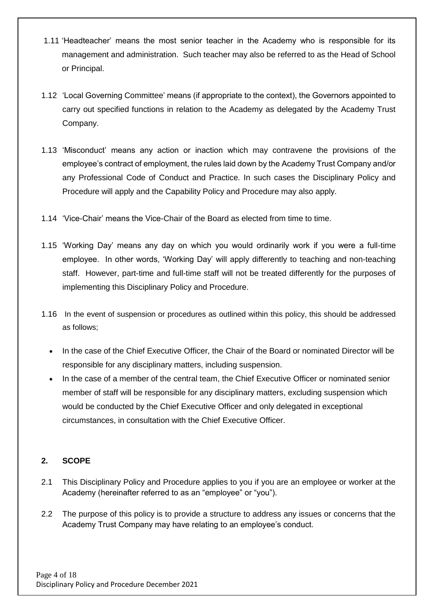- 1.11 'Headteacher' means the most senior teacher in the Academy who is responsible for its management and administration. Such teacher may also be referred to as the Head of School or Principal.
- 1.12 'Local Governing Committee' means (if appropriate to the context), the Governors appointed to carry out specified functions in relation to the Academy as delegated by the Academy Trust Company.
- 1.13 'Misconduct' means any action or inaction which may contravene the provisions of the employee's contract of employment, the rules laid down by the Academy Trust Company and/or any Professional Code of Conduct and Practice. In such cases the Disciplinary Policy and Procedure will apply and the Capability Policy and Procedure may also apply.
- 1.14 'Vice-Chair' means the Vice-Chair of the Board as elected from time to time.
- 1.15 'Working Day' means any day on which you would ordinarily work if you were a full-time employee. In other words, 'Working Day' will apply differently to teaching and non-teaching staff. However, part-time and full-time staff will not be treated differently for the purposes of implementing this Disciplinary Policy and Procedure.
- 1.16 In the event of suspension or procedures as outlined within this policy, this should be addressed as follows;
	- In the case of the Chief Executive Officer, the Chair of the Board or nominated Director will be responsible for any disciplinary matters, including suspension.
	- In the case of a member of the central team, the Chief Executive Officer or nominated senior member of staff will be responsible for any disciplinary matters, excluding suspension which would be conducted by the Chief Executive Officer and only delegated in exceptional circumstances, in consultation with the Chief Executive Officer.

# **2. SCOPE**

- 2.1 This Disciplinary Policy and Procedure applies to you if you are an employee or worker at the Academy (hereinafter referred to as an "employee" or "you").
- 2.2 The purpose of this policy is to provide a structure to address any issues or concerns that the Academy Trust Company may have relating to an employee's conduct.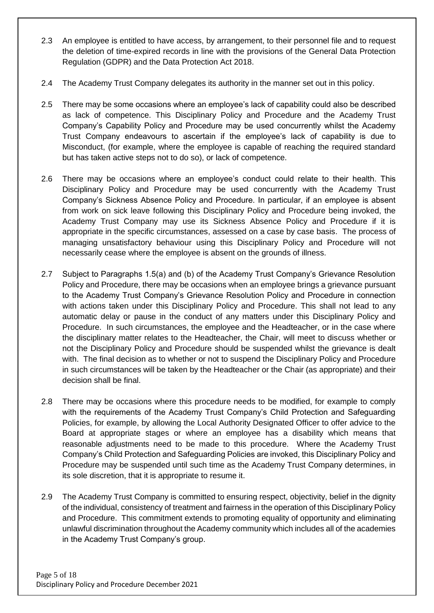- 2.3 An employee is entitled to have access, by arrangement, to their personnel file and to request the deletion of time-expired records in line with the provisions of the General Data Protection Regulation (GDPR) and the Data Protection Act 2018.
- 2.4 The Academy Trust Company delegates its authority in the manner set out in this policy.
- 2.5 There may be some occasions where an employee's lack of capability could also be described as lack of competence. This Disciplinary Policy and Procedure and the Academy Trust Company's Capability Policy and Procedure may be used concurrently whilst the Academy Trust Company endeavours to ascertain if the employee's lack of capability is due to Misconduct, (for example, where the employee is capable of reaching the required standard but has taken active steps not to do so), or lack of competence.
- 2.6 There may be occasions where an employee's conduct could relate to their health. This Disciplinary Policy and Procedure may be used concurrently with the Academy Trust Company's Sickness Absence Policy and Procedure. In particular, if an employee is absent from work on sick leave following this Disciplinary Policy and Procedure being invoked, the Academy Trust Company may use its Sickness Absence Policy and Procedure if it is appropriate in the specific circumstances, assessed on a case by case basis. The process of managing unsatisfactory behaviour using this Disciplinary Policy and Procedure will not necessarily cease where the employee is absent on the grounds of illness.
- 2.7 Subject to Paragraphs 1.5(a) and (b) of the Academy Trust Company's Grievance Resolution Policy and Procedure, there may be occasions when an employee brings a grievance pursuant to the Academy Trust Company's Grievance Resolution Policy and Procedure in connection with actions taken under this Disciplinary Policy and Procedure. This shall not lead to any automatic delay or pause in the conduct of any matters under this Disciplinary Policy and Procedure. In such circumstances, the employee and the Headteacher, or in the case where the disciplinary matter relates to the Headteacher, the Chair, will meet to discuss whether or not the Disciplinary Policy and Procedure should be suspended whilst the grievance is dealt with. The final decision as to whether or not to suspend the Disciplinary Policy and Procedure in such circumstances will be taken by the Headteacher or the Chair (as appropriate) and their decision shall be final.
- 2.8 There may be occasions where this procedure needs to be modified, for example to comply with the requirements of the Academy Trust Company's Child Protection and Safeguarding Policies, for example, by allowing the Local Authority Designated Officer to offer advice to the Board at appropriate stages or where an employee has a disability which means that reasonable adjustments need to be made to this procedure. Where the Academy Trust Company's Child Protection and Safeguarding Policies are invoked, this Disciplinary Policy and Procedure may be suspended until such time as the Academy Trust Company determines, in its sole discretion, that it is appropriate to resume it.
- 2.9 The Academy Trust Company is committed to ensuring respect, objectivity, belief in the dignity of the individual, consistency of treatment and fairness in the operation of this Disciplinary Policy and Procedure. This commitment extends to promoting equality of opportunity and eliminating unlawful discrimination throughout the Academy community which includes all of the academies in the Academy Trust Company's group.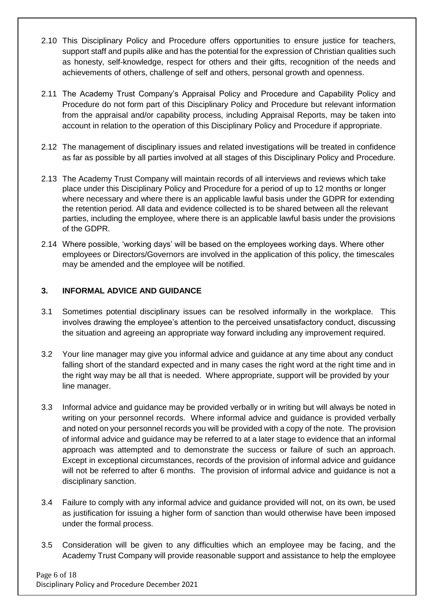- 2.10 This Disciplinary Policy and Procedure offers opportunities to ensure justice for teachers, support staff and pupils alike and has the potential for the expression of Christian qualities such as honesty, self-knowledge, respect for others and their gifts, recognition of the needs and achievements of others, challenge of self and others, personal growth and openness.
- 2.11 The Academy Trust Company's Appraisal Policy and Procedure and Capability Policy and Procedure do not form part of this Disciplinary Policy and Procedure but relevant information from the appraisal and/or capability process, including Appraisal Reports, may be taken into account in relation to the operation of this Disciplinary Policy and Procedure if appropriate.
- 2.12 The management of disciplinary issues and related investigations will be treated in confidence as far as possible by all parties involved at all stages of this Disciplinary Policy and Procedure.
- 2.13 The Academy Trust Company will maintain records of all interviews and reviews which take place under this Disciplinary Policy and Procedure for a period of up to 12 months or longer where necessary and where there is an applicable lawful basis under the GDPR for extending the retention period. All data and evidence collected is to be shared between all the relevant parties, including the employee, where there is an applicable lawful basis under the provisions of the GDPR.
- 2.14 Where possible, 'working days' will be based on the employees working days. Where other employees or Directors/Governors are involved in the application of this policy, the timescales may be amended and the employee will be notified.

#### **3. INFORMAL ADVICE AND GUIDANCE**

- 3.1 Sometimes potential disciplinary issues can be resolved informally in the workplace. This involves drawing the employee's attention to the perceived unsatisfactory conduct, discussing the situation and agreeing an appropriate way forward including any improvement required.
- 3.2 Your line manager may give you informal advice and guidance at any time about any conduct falling short of the standard expected and in many cases the right word at the right time and in the right way may be all that is needed. Where appropriate, support will be provided by your line manager.
- 3.3 Informal advice and guidance may be provided verbally or in writing but will always be noted in writing on your personnel records. Where informal advice and guidance is provided verbally and noted on your personnel records you will be provided with a copy of the note. The provision of informal advice and guidance may be referred to at a later stage to evidence that an informal approach was attempted and to demonstrate the success or failure of such an approach. Except in exceptional circumstances, records of the provision of informal advice and guidance will not be referred to after 6 months. The provision of informal advice and guidance is not a disciplinary sanction.
- 3.4 Failure to comply with any informal advice and guidance provided will not, on its own, be used as justification for issuing a higher form of sanction than would otherwise have been imposed under the formal process.
- 3.5 Consideration will be given to any difficulties which an employee may be facing, and the Academy Trust Company will provide reasonable support and assistance to help the employee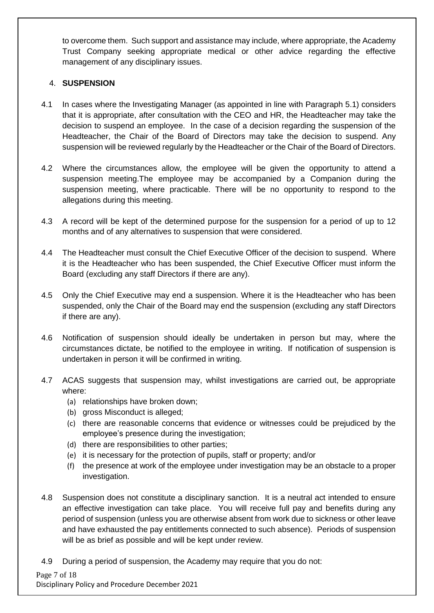to overcome them. Such support and assistance may include, where appropriate, the Academy Trust Company seeking appropriate medical or other advice regarding the effective management of any disciplinary issues.

#### 4. **SUSPENSION**

- 4.1 In cases where the Investigating Manager (as appointed in line with Paragraph 5.1) considers that it is appropriate, after consultation with the CEO and HR, the Headteacher may take the decision to suspend an employee. In the case of a decision regarding the suspension of the Headteacher, the Chair of the Board of Directors may take the decision to suspend. Any suspension will be reviewed regularly by the Headteacher or the Chair of the Board of Directors.
- 4.2 Where the circumstances allow, the employee will be given the opportunity to attend a suspension meeting.The employee may be accompanied by a Companion during the suspension meeting, where practicable. There will be no opportunity to respond to the allegations during this meeting.
- 4.3 A record will be kept of the determined purpose for the suspension for a period of up to 12 months and of any alternatives to suspension that were considered.
- 4.4 The Headteacher must consult the Chief Executive Officer of the decision to suspend. Where it is the Headteacher who has been suspended, the Chief Executive Officer must inform the Board (excluding any staff Directors if there are any).
- 4.5 Only the Chief Executive may end a suspension. Where it is the Headteacher who has been suspended, only the Chair of the Board may end the suspension (excluding any staff Directors if there are any).
- 4.6 Notification of suspension should ideally be undertaken in person but may, where the circumstances dictate, be notified to the employee in writing. If notification of suspension is undertaken in person it will be confirmed in writing.
- 4.7 ACAS suggests that suspension may, whilst investigations are carried out, be appropriate where:
	- (a) relationships have broken down;
	- (b) gross Misconduct is alleged;
	- (c) there are reasonable concerns that evidence or witnesses could be prejudiced by the employee's presence during the investigation;
	- (d) there are responsibilities to other parties;
	- (e) it is necessary for the protection of pupils, staff or property; and/or
	- (f) the presence at work of the employee under investigation may be an obstacle to a proper investigation.
- 4.8 Suspension does not constitute a disciplinary sanction. It is a neutral act intended to ensure an effective investigation can take place. You will receive full pay and benefits during any period of suspension (unless you are otherwise absent from work due to sickness or other leave and have exhausted the pay entitlements connected to such absence). Periods of suspension will be as brief as possible and will be kept under review.
- 4.9 During a period of suspension, the Academy may require that you do not: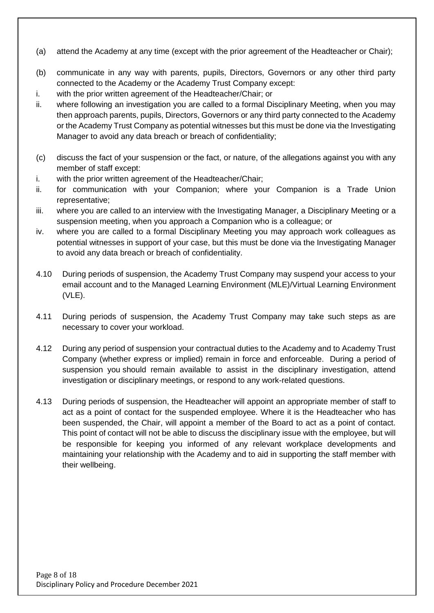- (a) attend the Academy at any time (except with the prior agreement of the Headteacher or Chair);
- (b) communicate in any way with parents, pupils, Directors, Governors or any other third party connected to the Academy or the Academy Trust Company except:
- i. with the prior written agreement of the Headteacher/Chair; or
- ii. where following an investigation you are called to a formal Disciplinary Meeting, when you may then approach parents, pupils, Directors, Governors or any third party connected to the Academy or the Academy Trust Company as potential witnesses but this must be done via the Investigating Manager to avoid any data breach or breach of confidentiality;
- (c) discuss the fact of your suspension or the fact, or nature, of the allegations against you with any member of staff except:
- i. with the prior written agreement of the Headteacher/Chair;
- ii. for communication with your Companion; where your Companion is a Trade Union representative;
- iii. where you are called to an interview with the Investigating Manager, a Disciplinary Meeting or a suspension meeting, when you approach a Companion who is a colleague; or
- iv. where you are called to a formal Disciplinary Meeting you may approach work colleagues as potential witnesses in support of your case, but this must be done via the Investigating Manager to avoid any data breach or breach of confidentiality.
- 4.10 During periods of suspension, the Academy Trust Company may suspend your access to your email account and to the Managed Learning Environment (MLE)/Virtual Learning Environment (VLE).
- 4.11 During periods of suspension, the Academy Trust Company may take such steps as are necessary to cover your workload.
- 4.12 During any period of suspension your contractual duties to the Academy and to Academy Trust Company (whether express or implied) remain in force and enforceable. During a period of suspension you should remain available to assist in the disciplinary investigation, attend investigation or disciplinary meetings, or respond to any work-related questions.
- 4.13 During periods of suspension, the Headteacher will appoint an appropriate member of staff to act as a point of contact for the suspended employee. Where it is the Headteacher who has been suspended, the Chair, will appoint a member of the Board to act as a point of contact. This point of contact will not be able to discuss the disciplinary issue with the employee, but will be responsible for keeping you informed of any relevant workplace developments and maintaining your relationship with the Academy and to aid in supporting the staff member with their wellbeing.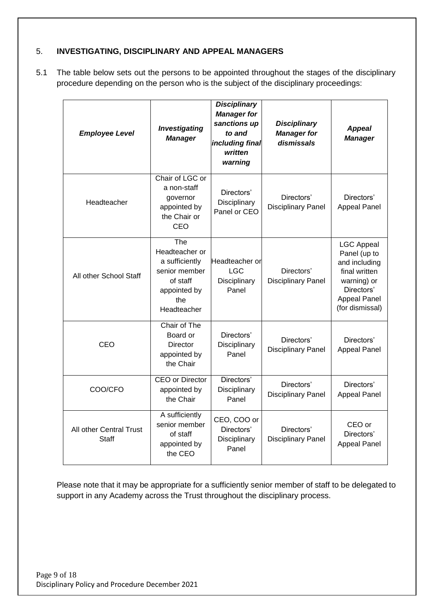#### 5. **INVESTIGATING, DISCIPLINARY AND APPEAL MANAGERS**

5.1 The table below sets out the persons to be appointed throughout the stages of the disciplinary procedure depending on the person who is the subject of the disciplinary proceedings:

| <b>Employee Level</b>            | <b>Investigating</b><br><b>Manager</b>                                                                     | <b>Disciplinary</b><br><b>Manager for</b><br>sanctions up<br>to and<br>including final<br>written<br>warning | <b>Disciplinary</b><br><b>Manager for</b><br>dismissals | <b>Appeal</b><br><b>Manager</b>                                                                                                            |
|----------------------------------|------------------------------------------------------------------------------------------------------------|--------------------------------------------------------------------------------------------------------------|---------------------------------------------------------|--------------------------------------------------------------------------------------------------------------------------------------------|
| Headteacher                      | Chair of LGC or<br>a non-staff<br>governor<br>appointed by<br>the Chair or<br>CEO                          | Directors'<br>Disciplinary<br>Panel or CEO                                                                   | Directors'<br><b>Disciplinary Panel</b>                 | Directors'<br><b>Appeal Panel</b>                                                                                                          |
| All other School Staff           | The<br>Headteacher or<br>a sufficiently<br>senior member<br>of staff<br>appointed by<br>the<br>Headteacher | Headteacher or<br><b>LGC</b><br>Disciplinary<br>Panel                                                        | Directors'<br><b>Disciplinary Panel</b>                 | <b>LGC Appeal</b><br>Panel (up to<br>and including<br>final written<br>warning) or<br>Directors'<br><b>Appeal Panel</b><br>(for dismissal) |
| CEO                              | Chair of The<br>Board or<br>Director<br>appointed by<br>the Chair                                          | Directors'<br>Disciplinary<br>Panel                                                                          | Directors'<br><b>Disciplinary Panel</b>                 | Directors'<br><b>Appeal Panel</b>                                                                                                          |
| COO/CFO                          | <b>CEO</b> or Director<br>appointed by<br>the Chair                                                        | Directors'<br>Disciplinary<br>Panel                                                                          | Directors'<br><b>Disciplinary Panel</b>                 | Directors'<br><b>Appeal Panel</b>                                                                                                          |
| All other Central Trust<br>Staff | A sufficiently<br>senior member<br>of staff<br>appointed by<br>the CEO                                     | CEO, COO or<br>Directors'<br>Disciplinary<br>Panel                                                           | Directors'<br><b>Disciplinary Panel</b>                 | CEO or<br>Directors'<br><b>Appeal Panel</b>                                                                                                |

Please note that it may be appropriate for a sufficiently senior member of staff to be delegated to support in any Academy across the Trust throughout the disciplinary process.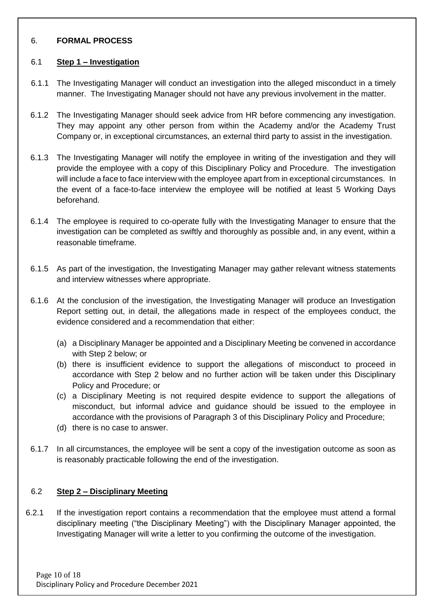#### 6. **FORMAL PROCESS**

#### 6.1 **Step 1 – Investigation**

- 6.1.1 The Investigating Manager will conduct an investigation into the alleged misconduct in a timely manner. The Investigating Manager should not have any previous involvement in the matter.
- 6.1.2 The Investigating Manager should seek advice from HR before commencing any investigation. They may appoint any other person from within the Academy and/or the Academy Trust Company or, in exceptional circumstances, an external third party to assist in the investigation.
- 6.1.3 The Investigating Manager will notify the employee in writing of the investigation and they will provide the employee with a copy of this Disciplinary Policy and Procedure. The investigation will include a face to face interview with the employee apart from in exceptional circumstances. In the event of a face-to-face interview the employee will be notified at least 5 Working Days beforehand.
- 6.1.4 The employee is required to co-operate fully with the Investigating Manager to ensure that the investigation can be completed as swiftly and thoroughly as possible and, in any event, within a reasonable timeframe.
- 6.1.5 As part of the investigation, the Investigating Manager may gather relevant witness statements and interview witnesses where appropriate.
- 6.1.6 At the conclusion of the investigation, the Investigating Manager will produce an Investigation Report setting out, in detail, the allegations made in respect of the employees conduct, the evidence considered and a recommendation that either:
	- (a) a Disciplinary Manager be appointed and a Disciplinary Meeting be convened in accordance with Step 2 below; or
	- (b) there is insufficient evidence to support the allegations of misconduct to proceed in accordance with Step 2 below and no further action will be taken under this Disciplinary Policy and Procedure; or
	- (c) a Disciplinary Meeting is not required despite evidence to support the allegations of misconduct, but informal advice and guidance should be issued to the employee in accordance with the provisions of Paragraph 3 of this Disciplinary Policy and Procedure;
	- (d) there is no case to answer.
- 6.1.7 In all circumstances, the employee will be sent a copy of the investigation outcome as soon as is reasonably practicable following the end of the investigation.

#### 6.2 **Step 2 – Disciplinary Meeting**

6.2.1 If the investigation report contains a recommendation that the employee must attend a formal disciplinary meeting ("the Disciplinary Meeting") with the Disciplinary Manager appointed, the Investigating Manager will write a letter to you confirming the outcome of the investigation.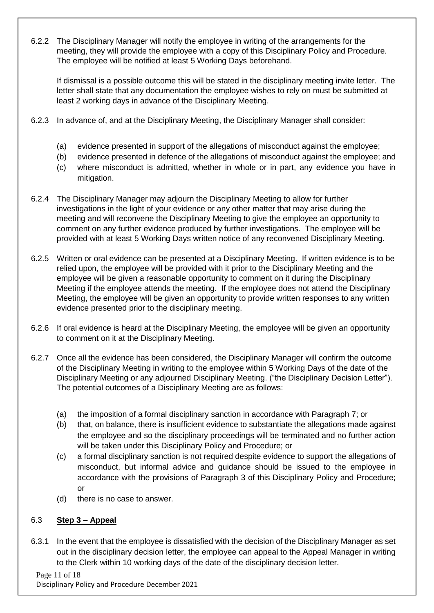6.2.2 The Disciplinary Manager will notify the employee in writing of the arrangements for the meeting, they will provide the employee with a copy of this Disciplinary Policy and Procedure. The employee will be notified at least 5 Working Days beforehand.

If dismissal is a possible outcome this will be stated in the disciplinary meeting invite letter. The letter shall state that any documentation the employee wishes to rely on must be submitted at least 2 working days in advance of the Disciplinary Meeting.

- 6.2.3 In advance of, and at the Disciplinary Meeting, the Disciplinary Manager shall consider:
	- (a) evidence presented in support of the allegations of misconduct against the employee;
	- (b) evidence presented in defence of the allegations of misconduct against the employee; and
	- (c) where misconduct is admitted, whether in whole or in part, any evidence you have in mitigation.
- 6.2.4 The Disciplinary Manager may adjourn the Disciplinary Meeting to allow for further investigations in the light of your evidence or any other matter that may arise during the meeting and will reconvene the Disciplinary Meeting to give the employee an opportunity to comment on any further evidence produced by further investigations. The employee will be provided with at least 5 Working Days written notice of any reconvened Disciplinary Meeting.
- 6.2.5 Written or oral evidence can be presented at a Disciplinary Meeting. If written evidence is to be relied upon, the employee will be provided with it prior to the Disciplinary Meeting and the employee will be given a reasonable opportunity to comment on it during the Disciplinary Meeting if the employee attends the meeting. If the employee does not attend the Disciplinary Meeting, the employee will be given an opportunity to provide written responses to any written evidence presented prior to the disciplinary meeting.
- 6.2.6 If oral evidence is heard at the Disciplinary Meeting, the employee will be given an opportunity to comment on it at the Disciplinary Meeting.
- 6.2.7 Once all the evidence has been considered, the Disciplinary Manager will confirm the outcome of the Disciplinary Meeting in writing to the employee within 5 Working Days of the date of the Disciplinary Meeting or any adjourned Disciplinary Meeting. ("the Disciplinary Decision Letter"). The potential outcomes of a Disciplinary Meeting are as follows:
	- (a) the imposition of a formal disciplinary sanction in accordance with Paragraph 7; or
	- (b) that, on balance, there is insufficient evidence to substantiate the allegations made against the employee and so the disciplinary proceedings will be terminated and no further action will be taken under this Disciplinary Policy and Procedure; or
	- (c) a formal disciplinary sanction is not required despite evidence to support the allegations of misconduct, but informal advice and guidance should be issued to the employee in accordance with the provisions of Paragraph 3 of this Disciplinary Policy and Procedure; or
	- (d) there is no case to answer.

#### 6.3 **Step 3 – Appeal**

6.3.1 In the event that the employee is dissatisfied with the decision of the Disciplinary Manager as set out in the disciplinary decision letter, the employee can appeal to the Appeal Manager in writing to the Clerk within 10 working days of the date of the disciplinary decision letter.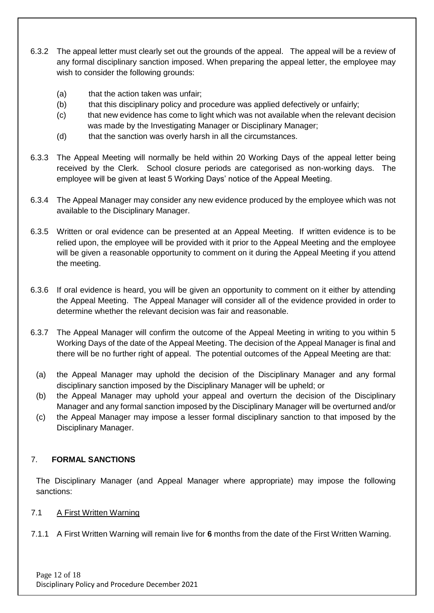- 6.3.2 The appeal letter must clearly set out the grounds of the appeal. The appeal will be a review of any formal disciplinary sanction imposed. When preparing the appeal letter, the employee may wish to consider the following grounds:
	- (a) that the action taken was unfair;
	- (b) that this disciplinary policy and procedure was applied defectively or unfairly;
	- (c) that new evidence has come to light which was not available when the relevant decision was made by the Investigating Manager or Disciplinary Manager;
	- (d) that the sanction was overly harsh in all the circumstances.
- 6.3.3 The Appeal Meeting will normally be held within 20 Working Days of the appeal letter being received by the Clerk. School closure periods are categorised as non-working days. The employee will be given at least 5 Working Days' notice of the Appeal Meeting.
- 6.3.4 The Appeal Manager may consider any new evidence produced by the employee which was not available to the Disciplinary Manager.
- 6.3.5 Written or oral evidence can be presented at an Appeal Meeting. If written evidence is to be relied upon, the employee will be provided with it prior to the Appeal Meeting and the employee will be given a reasonable opportunity to comment on it during the Appeal Meeting if you attend the meeting.
- 6.3.6 If oral evidence is heard, you will be given an opportunity to comment on it either by attending the Appeal Meeting. The Appeal Manager will consider all of the evidence provided in order to determine whether the relevant decision was fair and reasonable.
- 6.3.7 The Appeal Manager will confirm the outcome of the Appeal Meeting in writing to you within 5 Working Days of the date of the Appeal Meeting. The decision of the Appeal Manager is final and there will be no further right of appeal. The potential outcomes of the Appeal Meeting are that:
	- (a) the Appeal Manager may uphold the decision of the Disciplinary Manager and any formal disciplinary sanction imposed by the Disciplinary Manager will be upheld; or
	- (b) the Appeal Manager may uphold your appeal and overturn the decision of the Disciplinary Manager and any formal sanction imposed by the Disciplinary Manager will be overturned and/or
	- (c) the Appeal Manager may impose a lesser formal disciplinary sanction to that imposed by the Disciplinary Manager.

# 7. **FORMAL SANCTIONS**

The Disciplinary Manager (and Appeal Manager where appropriate) may impose the following sanctions:

#### 7.1 A First Written Warning

7.1.1 A First Written Warning will remain live for **6** months from the date of the First Written Warning.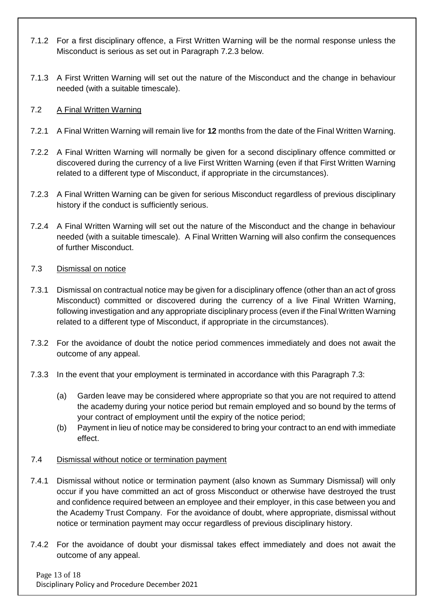- 7.1.2 For a first disciplinary offence, a First Written Warning will be the normal response unless the Misconduct is serious as set out in Paragraph 7.2.3 below.
- 7.1.3 A First Written Warning will set out the nature of the Misconduct and the change in behaviour needed (with a suitable timescale).

#### 7.2 A Final Written Warning

- 7.2.1 A Final Written Warning will remain live for **12** months from the date of the Final Written Warning.
- 7.2.2 A Final Written Warning will normally be given for a second disciplinary offence committed or discovered during the currency of a live First Written Warning (even if that First Written Warning related to a different type of Misconduct, if appropriate in the circumstances).
- 7.2.3 A Final Written Warning can be given for serious Misconduct regardless of previous disciplinary history if the conduct is sufficiently serious.
- 7.2.4 A Final Written Warning will set out the nature of the Misconduct and the change in behaviour needed (with a suitable timescale). A Final Written Warning will also confirm the consequences of further Misconduct.

#### 7.3 Dismissal on notice

- 7.3.1 Dismissal on contractual notice may be given for a disciplinary offence (other than an act of gross Misconduct) committed or discovered during the currency of a live Final Written Warning, following investigation and any appropriate disciplinary process (even if the Final Written Warning related to a different type of Misconduct, if appropriate in the circumstances).
- 7.3.2 For the avoidance of doubt the notice period commences immediately and does not await the outcome of any appeal.
- 7.3.3 In the event that your employment is terminated in accordance with this Paragraph 7.3:
	- (a) Garden leave may be considered where appropriate so that you are not required to attend the academy during your notice period but remain employed and so bound by the terms of your contract of employment until the expiry of the notice period;
	- (b) Payment in lieu of notice may be considered to bring your contract to an end with immediate effect.

#### 7.4 Dismissal without notice or termination payment

- 7.4.1 Dismissal without notice or termination payment (also known as Summary Dismissal) will only occur if you have committed an act of gross Misconduct or otherwise have destroyed the trust and confidence required between an employee and their employer, in this case between you and the Academy Trust Company. For the avoidance of doubt, where appropriate, dismissal without notice or termination payment may occur regardless of previous disciplinary history.
- 7.4.2 For the avoidance of doubt your dismissal takes effect immediately and does not await the outcome of any appeal.

Page 13 of 18 Disciplinary Policy and Procedure December 2021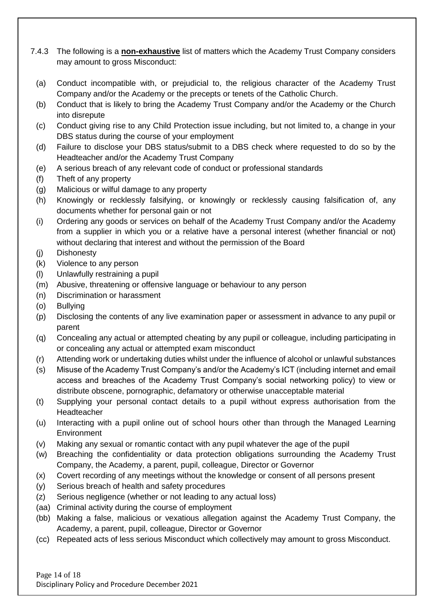- 7.4.3 The following is a **non-exhaustive** list of matters which the Academy Trust Company considers may amount to gross Misconduct:
	- (a) Conduct incompatible with, or prejudicial to, the religious character of the Academy Trust Company and/or the Academy or the precepts or tenets of the Catholic Church.
	- (b) Conduct that is likely to bring the Academy Trust Company and/or the Academy or the Church into disrepute
	- (c) Conduct giving rise to any Child Protection issue including, but not limited to, a change in your DBS status during the course of your employment
	- (d) Failure to disclose your DBS status/submit to a DBS check where requested to do so by the Headteacher and/or the Academy Trust Company
	- (e) A serious breach of any relevant code of conduct or professional standards
	- (f) Theft of any property
	- (g) Malicious or wilful damage to any property
	- (h) Knowingly or recklessly falsifying, or knowingly or recklessly causing falsification of, any documents whether for personal gain or not
	- (i) Ordering any goods or services on behalf of the Academy Trust Company and/or the Academy from a supplier in which you or a relative have a personal interest (whether financial or not) without declaring that interest and without the permission of the Board
	- (j) Dishonesty
	- (k) Violence to any person
	- (l) Unlawfully restraining a pupil
	- (m) Abusive, threatening or offensive language or behaviour to any person
	- (n) Discrimination or harassment
	- (o) Bullying
	- (p) Disclosing the contents of any live examination paper or assessment in advance to any pupil or parent
	- (q) Concealing any actual or attempted cheating by any pupil or colleague, including participating in or concealing any actual or attempted exam misconduct
	- (r) Attending work or undertaking duties whilst under the influence of alcohol or unlawful substances
	- (s) Misuse of the Academy Trust Company's and/or the Academy's ICT (including internet and email access and breaches of the Academy Trust Company's social networking policy) to view or distribute obscene, pornographic, defamatory or otherwise unacceptable material
	- (t) Supplying your personal contact details to a pupil without express authorisation from the Headteacher
	- (u) Interacting with a pupil online out of school hours other than through the Managed Learning **Environment**
	- (v) Making any sexual or romantic contact with any pupil whatever the age of the pupil
	- (w) Breaching the confidentiality or data protection obligations surrounding the Academy Trust Company, the Academy, a parent, pupil, colleague, Director or Governor
	- (x) Covert recording of any meetings without the knowledge or consent of all persons present
	- (y) Serious breach of health and safety procedures
	- (z) Serious negligence (whether or not leading to any actual loss)
	- (aa) Criminal activity during the course of employment
	- (bb) Making a false, malicious or vexatious allegation against the Academy Trust Company, the Academy, a parent, pupil, colleague, Director or Governor
	- (cc) Repeated acts of less serious Misconduct which collectively may amount to gross Misconduct.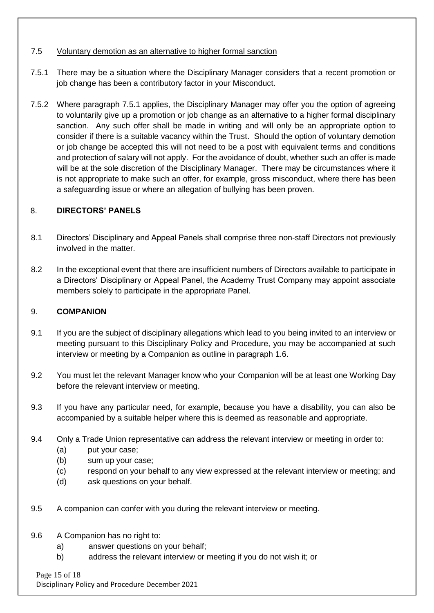#### 7.5 Voluntary demotion as an alternative to higher formal sanction

- 7.5.1 There may be a situation where the Disciplinary Manager considers that a recent promotion or job change has been a contributory factor in your Misconduct.
- 7.5.2 Where paragraph 7.5.1 applies, the Disciplinary Manager may offer you the option of agreeing to voluntarily give up a promotion or job change as an alternative to a higher formal disciplinary sanction. Any such offer shall be made in writing and will only be an appropriate option to consider if there is a suitable vacancy within the Trust. Should the option of voluntary demotion or job change be accepted this will not need to be a post with equivalent terms and conditions and protection of salary will not apply. For the avoidance of doubt, whether such an offer is made will be at the sole discretion of the Disciplinary Manager. There may be circumstances where it is not appropriate to make such an offer, for example, gross misconduct, where there has been a safeguarding issue or where an allegation of bullying has been proven.

#### 8. **DIRECTORS' PANELS**

- 8.1 Directors' Disciplinary and Appeal Panels shall comprise three non-staff Directors not previously involved in the matter.
- 8.2 In the exceptional event that there are insufficient numbers of Directors available to participate in a Directors' Disciplinary or Appeal Panel, the Academy Trust Company may appoint associate members solely to participate in the appropriate Panel.

#### 9. **COMPANION**

- 9.1 If you are the subject of disciplinary allegations which lead to you being invited to an interview or meeting pursuant to this Disciplinary Policy and Procedure, you may be accompanied at such interview or meeting by a Companion as outline in paragraph 1.6.
- 9.2 You must let the relevant Manager know who your Companion will be at least one Working Day before the relevant interview or meeting.
- 9.3 If you have any particular need, for example, because you have a disability, you can also be accompanied by a suitable helper where this is deemed as reasonable and appropriate.
- 9.4 Only a Trade Union representative can address the relevant interview or meeting in order to:
	- (a) put your case;
	- (b) sum up your case;
	- (c) respond on your behalf to any view expressed at the relevant interview or meeting; and
	- (d) ask questions on your behalf.
- 9.5 A companion can confer with you during the relevant interview or meeting.
- 9.6 A Companion has no right to:
	- a) answer questions on your behalf;
	- b) address the relevant interview or meeting if you do not wish it; or

Page 15 of 18 Disciplinary Policy and Procedure December 2021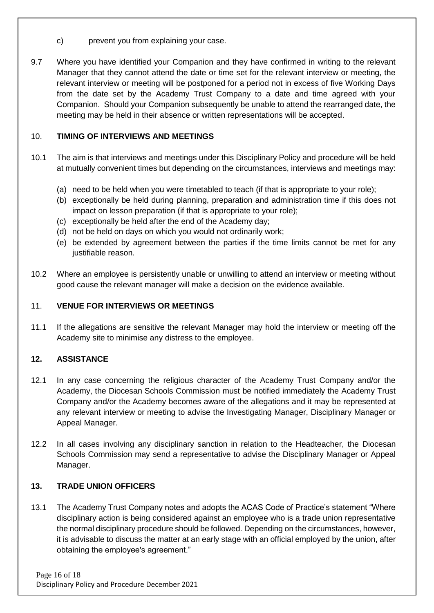- c) prevent you from explaining your case.
- 9.7 Where you have identified your Companion and they have confirmed in writing to the relevant Manager that they cannot attend the date or time set for the relevant interview or meeting, the relevant interview or meeting will be postponed for a period not in excess of five Working Days from the date set by the Academy Trust Company to a date and time agreed with your Companion. Should your Companion subsequently be unable to attend the rearranged date, the meeting may be held in their absence or written representations will be accepted.

## 10. **TIMING OF INTERVIEWS AND MEETINGS**

- 10.1 The aim is that interviews and meetings under this Disciplinary Policy and procedure will be held at mutually convenient times but depending on the circumstances, interviews and meetings may:
	- (a) need to be held when you were timetabled to teach (if that is appropriate to your role);
	- (b) exceptionally be held during planning, preparation and administration time if this does not impact on lesson preparation (if that is appropriate to your role);
	- (c) exceptionally be held after the end of the Academy day;
	- (d) not be held on days on which you would not ordinarily work;
	- (e) be extended by agreement between the parties if the time limits cannot be met for any justifiable reason.
- 10.2 Where an employee is persistently unable or unwilling to attend an interview or meeting without good cause the relevant manager will make a decision on the evidence available.

#### 11. **VENUE FOR INTERVIEWS OR MEETINGS**

11.1 If the allegations are sensitive the relevant Manager may hold the interview or meeting off the Academy site to minimise any distress to the employee.

#### **12. ASSISTANCE**

- 12.1 In any case concerning the religious character of the Academy Trust Company and/or the Academy, the Diocesan Schools Commission must be notified immediately the Academy Trust Company and/or the Academy becomes aware of the allegations and it may be represented at any relevant interview or meeting to advise the Investigating Manager, Disciplinary Manager or Appeal Manager.
- 12.2 In all cases involving any disciplinary sanction in relation to the Headteacher, the Diocesan Schools Commission may send a representative to advise the Disciplinary Manager or Appeal Manager.

#### **13. TRADE UNION OFFICERS**

13.1 The Academy Trust Company notes and adopts the ACAS Code of Practice's statement "Where disciplinary action is being considered against an employee who is a trade union representative the normal disciplinary procedure should be followed. Depending on the circumstances, however, it is advisable to discuss the matter at an early stage with an official employed by the union, after obtaining the employee's agreement."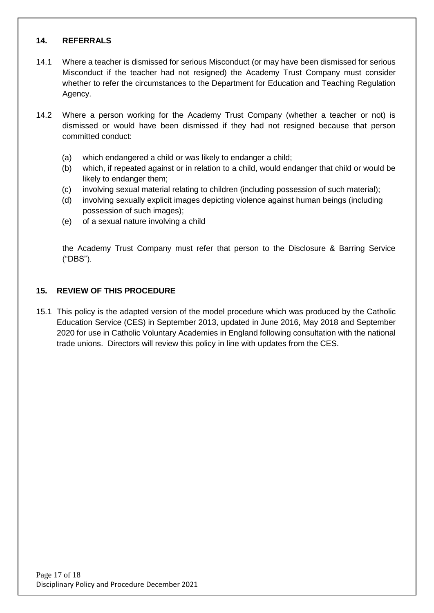#### **14. REFERRALS**

- 14.1 Where a teacher is dismissed for serious Misconduct (or may have been dismissed for serious Misconduct if the teacher had not resigned) the Academy Trust Company must consider whether to refer the circumstances to the Department for Education and Teaching Regulation Agency.
- 14.2 Where a person working for the Academy Trust Company (whether a teacher or not) is dismissed or would have been dismissed if they had not resigned because that person committed conduct:
	- (a) which endangered a child or was likely to endanger a child;
	- (b) which, if repeated against or in relation to a child, would endanger that child or would be likely to endanger them;
	- (c) involving sexual material relating to children (including possession of such material);
	- (d) involving sexually explicit images depicting violence against human beings (including possession of such images);
	- (e) of a sexual nature involving a child

the Academy Trust Company must refer that person to the Disclosure & Barring Service ("DBS").

#### **15. REVIEW OF THIS PROCEDURE**

15.1 This policy is the adapted version of the model procedure which was produced by the Catholic Education Service (CES) in September 2013, updated in June 2016, May 2018 and September 2020 for use in Catholic Voluntary Academies in England following consultation with the national trade unions. Directors will review this policy in line with updates from the CES.